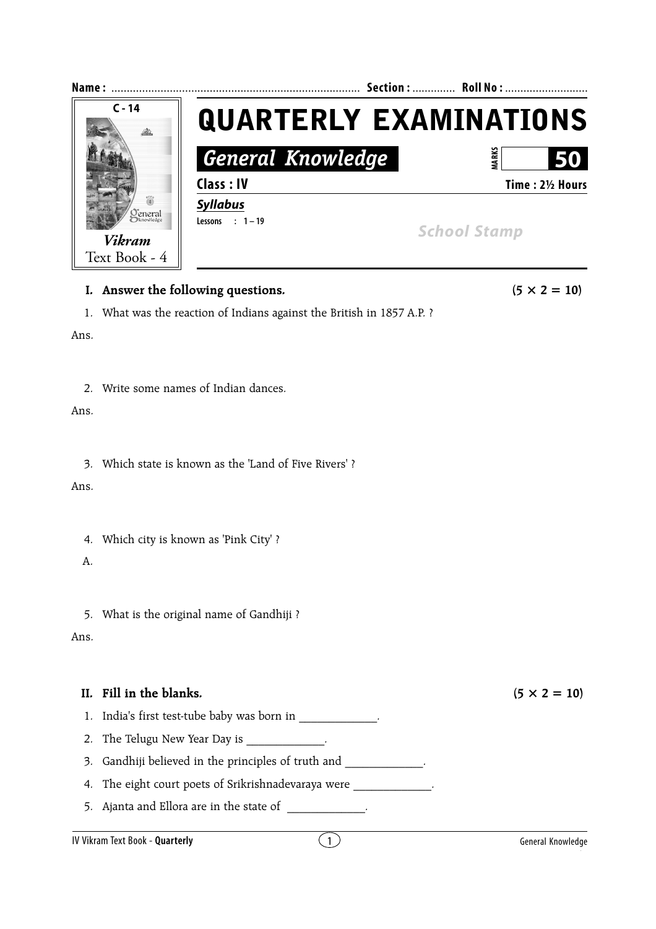

|  |  |  |  |  | II. Fill in the blanks. |
|--|--|--|--|--|-------------------------|
|--|--|--|--|--|-------------------------|

- 1. India's first test-tube baby was born in \_\_\_\_\_\_\_\_\_\_\_\_.
- 2. The Telugu New Year Day is \_\_\_\_\_\_\_\_\_\_\_\_.
- 3. Gandhiji believed in the principles of truth and
- 4. The eight court poets of Srikrishnadevaraya were \_\_\_\_\_\_\_\_\_\_\_\_\_.
- 5. Ajanta and Ellora are in the state of  $\qquad \qquad$ .

 $(5 \times 2 = 10)$